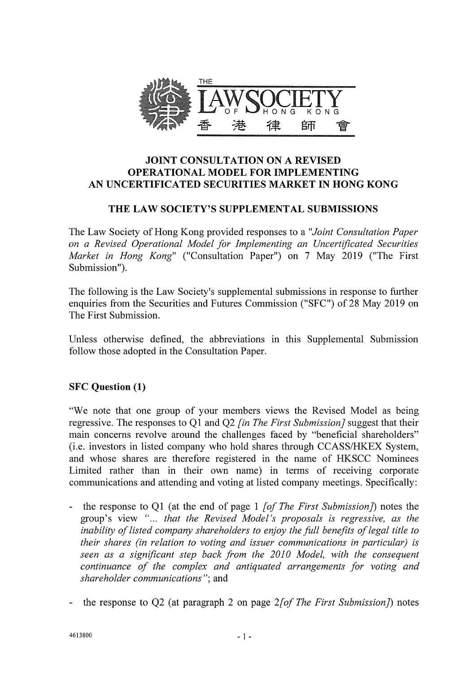

### JOINT CONSULTATION ON A REVISED OPERATIONAL MODEL FOR IMPLEMENTING AN UNCERTIFICATED SECURITIES MARKET IN HONG KONG

## THE LAW SOCIETY'S SUPPLEMENTAL SUBMISSIONS

The Law Society of Hong Kong provided responses to a *"Joint Consultation Paper on a Revised Operational Model for Implementing an Uncertificated Securities Market in Hong Kong"* ("Consultation Paper") on 7 May 2019 ("The First Submission").

The following is the Law Society's supplemental submissions in response to further enquiries from the Securities and Futures Commission ("SFC") of 28 May 2019 on The First Submission.

Unless otherwise defined, the abbreviations in this Supplemental Submission follow those adopted in the Consultation Paper.

## SFC **Question (1)**

"We note that one group of your members views the Revised Model as being regressive. The responses to Q1 and Q2 *[in The First Submission]* suggest that their main concerns revolve around the challenges faced by "beneficial shareholders" (i.e. investors in listed company who hold shares through CCASS/HKEX System, and whose shares are therefore registered in the name of HKSCC Nominees Limited rather than in their own name) in terms of receiving corporate communications and attending and voting at listed company meetings. Specifically:

- the response to Q1 (at the end of page 1 *[of The First Submission])* notes the group's view "... *that the Revised Model's proposals is regressive, as the inability of listed company shareholders to enjoy the full benefits of legal title to their shares (in relation to voting and issuer communications in particular) is seen as a significant step back from the 2010 Model, with the consequent continuance of the complex and antiquated arrangements for voting and shareholder communications";* and
- the response to Q2 (at paragraph 2 on page *2[of The First Submission])* notes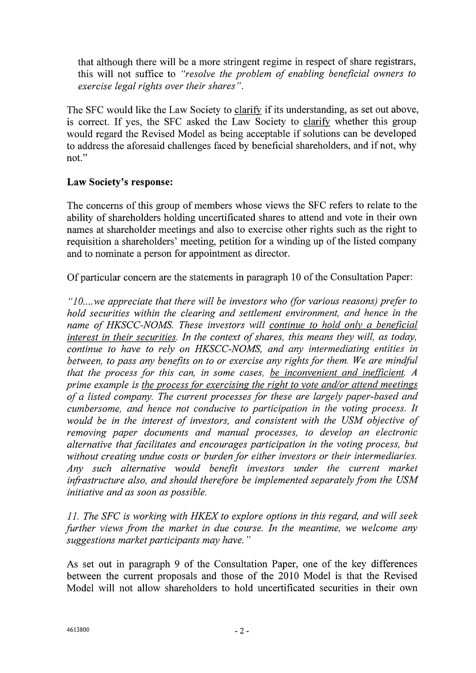that although there will be a more stringent regime in respect of share registrars, this will not suffice to *"resolve the problem of enabling beneficial owners to exercise legal rights over their shares".* 

The SFC would like the Law Society to clarify if its understanding, as set out above, is correct. If yes, the SFC asked the Law Society to clarify whether this group would regard the Revised Model as being acceptable if solutions can be developed to address the aforesaid challenges faced by beneficial shareholders, and if not, why not."

## **Law Society's response:**

The concerns of this group of members whose views the SFC refers to relate to the ability of shareholders holding uncertificated shares to attend and vote in their own names at shareholder meetings and also to exercise other rights such as the right to requisition a shareholders' meeting, petition for a winding up of the listed company and to nominate a person for appointment as director.

Of particular concern are the statements in paragraph 10 of the Consultation Paper:

*"10.... we appreciate that there will be investors who (for various reasons) prefer to hold securities within the clearing and settlement environment, and hence in the name of HKSCC-NOMS. These investors will continue to hold only a beneficial interest in their securities. In the context of shares, this means they will, as today, continue to have to rely on HKSCC-NOMS, and any intermediating entities in between, to pass any benefits on to or exercise any rights for them. We are mindful that the process for this can, in some cases, be inconvenient and inefficient.A prime example is the process for exercising the right to vote and/or attend meetings of a listed company. The current processes for these are largely paper-based and cumbersome, and hence not conducive to participation in the voting process. It would be in the interest of investors, and consistent with the USM objective of removing paper documents and manual processes, to develop an electronic alternative that facilitates and encourages participation in the voting process, but without creating undue costs or burden for either investors or their intermediaries. Any such alternative would benefit investors under the current market infrastructure also, and should therefore be implemented separately from the USM initiative and as soon as possible.* 

*11. The SFC is working with HKEX to explore options in this regard, and will seek further views from the market in due course. In the meantime, we welcome any suggestions market participants may have."* 

As set out in paragraph 9 of the Consultation Paper, one of the key differences between the current proposals and those of the 2010 Model is that the Revised Model will not allow shareholders to hold uncertificated securities in their own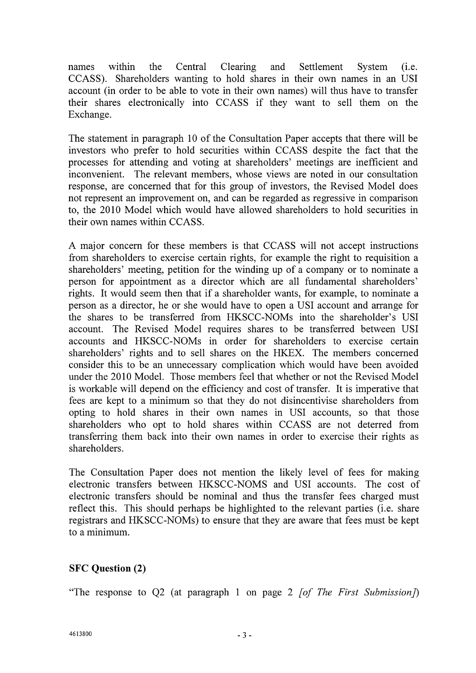names within the Central Clearing and Settlement System (i.e. CCASS). Shareholders wanting to hold shares in their own names in an USI account (in order to be able to vote in their own names) will thus have to transfer their shares electronically into CCASS if they want to sell them on the Exchange.

The statement in paragraph 10 of the Consultation Paper accepts that there will be investors who prefer to hold securities within CCASS despite the fact that the processes for attending and voting at shareholders' meetings are inefficient and inconvenient. The relevant members, whose views are noted in our consultation response, are concerned that for this group of investors, the Revised Model does not represent an improvement on, and can be regarded as regressive in comparison to, the 2010 Model which would have allowed shareholders to hold securities in their own names within CCASS.

A major concern for these members is that CCASS will not accept instructions from shareholders to exercise certain rights, for example the right to requisition a shareholders' meeting, petition for the winding up of a company or to nominate a person for appointment as a director which are all fundamental shareholders' rights. It would seem then that if a shareholder wants, for example, to nominate a person as a director, he or she would have to open a USI account and arrange for the shares to be transferred from HKSCC-NOMs into the shareholder's USI account. The Revised Model requires shares to be transferred between USI accounts and HKSCC-NOMs in order for shareholders to exercise certain shareholders' rights and to sell shares on the HKEX. The members concerned consider this to be an unnecessary complication which would have been avoided under the 2010 Model. Those members feel that whether or not the Revised Model is workable will depend on the efficiency and cost of transfer. It is imperative that fees are kept to a minimum so that they do not disincentivise shareholders from opting to hold shares in their own names in USI accounts, so that those shareholders who opt to hold shares within CCASS are not deterred from transferring them back into their own names in order to exercise their rights as shareholders.

The Consultation Paper does not mention the likely level of fees for making electronic transfers between HKSCC-NOMS and USI accounts. The cost of electronic transfers should be nominal and thus the transfer fees charged must reflect this. This should perhaps be highlighted to the relevant parties (i.e. share registrars and HKSCC-NOMs) to ensure that they are aware that fees must be kept to a minimum.

# **SFC Question (2)**

"The response to Q2 (at paragraph 1 on page 2 *[of The First Submission])*